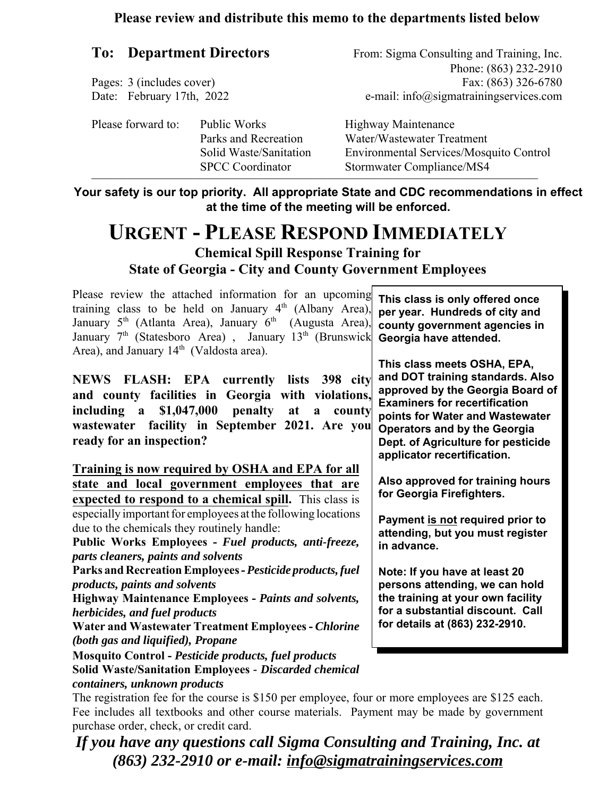#### **Please review and distribute this memo to the departments listed below**

#### **To: Department Directors**

Pages: 3 (includes cover) Date: February 17th, 2022 From: Sigma Consulting and Training, Inc. Phone: (863) 232-2910 Fax: (863) 326-6780 e-mail: info@sigmatrainingservices.com

| Please forward to: | Public Works<br>Parks and Recreation              | <b>Highway Maintenance</b><br>Water/Wastewater Treatment             |
|--------------------|---------------------------------------------------|----------------------------------------------------------------------|
|                    | Solid Waste/Sanitation<br><b>SPCC</b> Coordinator | Environmental Services/Mosquito Control<br>Stormwater Compliance/MS4 |

**Your safety is our top priority. All appropriate State and CDC recommendations in effect at the time of the meeting will be enforced.**

### **URGENT - PLEASE RESPOND IMMEDIATELY Chemical Spill Response Training for State of Georgia - City and County Government Employees**

Please review the attached information for an upcoming training class to be held on January 4<sup>th</sup> (Albany Area), January 5<sup>th</sup> (Atlanta Area), January 6<sup>th</sup> (Augusta Area), January 7<sup>th</sup> (Statesboro Area), January 13<sup>th</sup> (Brunswick Area), and January 14<sup>th</sup> (Valdosta area).

**NEWS FLASH: EPA currently lists 398 city and county facilities in Georgia with violations, including a \$1,047,000 penalty at a county wastewater facility in September 2021. Are you ready for an inspection?** 

**Training is now required by OSHA and EPA for all state and local government employees that are expected to respond to a chemical spill.** This class is especially important for employees at the following locations due to the chemicals they routinely handle:

**Public Works Employees -** *Fuel products, anti-freeze, parts cleaners, paints and solvents*

**Parks and Recreation Employees -** *Pesticide products, fuel products, paints and solvents*

**Highway Maintenance Employees -** *Paints and solvents, herbicides, and fuel products*

**Water and Wastewater Treatment Employees -** *Chlorine (both gas and liquified), Propane*

**Mosquito Control -** *Pesticide products, fuel products* **Solid Waste/Sanitation Employees** *- Discarded chemical*

*containers, unknown products*

**This class is only offered once per year. Hundreds of city and county government agencies in Georgia have attended.**

**This class meets OSHA, EPA, and DOT training standards. Also approved by the Georgia Board of Examiners for recertification points for Water and Wastewater Operators and by the Georgia Dept. of Agriculture for pesticide applicator recertification.**

**Also approved for training hours for Georgia Firefighters.**

**Payment is not required prior to attending, but you must register in advance.** 

**Note: If you have at least 20 persons attending, we can hold the training at your own facility for a substantial discount. Call for details at (863) 232-2910.**

The registration fee for the course is \$150 per employee, four or more employees are \$125 each. Fee includes all textbooks and other course materials. Payment may be made by government purchase order, check, or credit card.

*If you have any questions call Sigma Consulting and Training, Inc. at (863) 232-2910 or e-mail: info@sigmatrainingservices.com*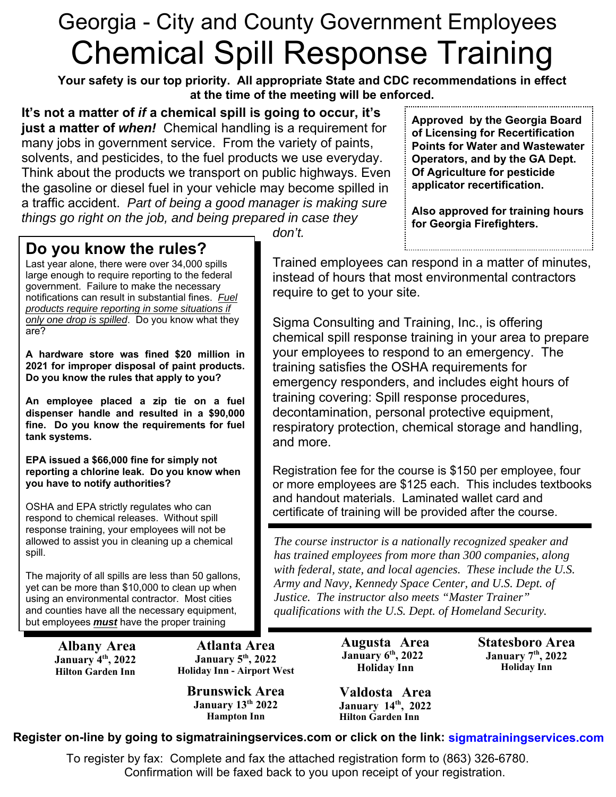# Georgia - City and County Government Employees Chemical Spill Response Training

Due to many requests we are offering a Make p Class on Wednesday, March 10th for the many students that were unable to attend on January 5th, 2022

**It's not a matter of** *if* **a chemical spill is going to occur, it's just a matter of** *when!* Chemical handling is a requirement for many jobs in government service. From the variety of paints, solvents, and pesticides, to the fuel products we use everyday. Think about the products we transport on public highways. Even the gasoline or diesel fuel in your vehicle may become spilled in a traffic accident. *Part of being a good manager is making sure things go right on the job, and being prepared in case they*

**Approved by the Georgia Board of Licensing for Recertification Points for Water and Wastewater Operators, and by the GA Dept. Of Agriculture for pesticide applicator recertification.** 

**Also approved for training hours for Georgia Firefighters.**

.................................

### **Do you know the rules?**

Last year alone, there were over 34,000 spills large enough to require reporting to the federal government. Failure to make the necessary notifications can result in substantial fines. *Fuel products require reporting in some situations if only one drop is spilled*. Do you know what they are?

**A hardware store was fined \$20 million in 2021 for improper disposal of paint products. Do you know the rules that apply to you?**

**An employee placed a zip tie on a fuel dispenser handle and resulted in a \$90,000 fine. Do you know the requirements for fuel tank systems.**

**EPA issued a \$66,000 fine for simply not reporting a chlorine leak. Do you know when you have to notify authorities?**

OSHA and EPA strictly regulates who can respond to chemical releases. Without spill response training, your employees will not be allowed to assist you in cleaning up a chemical spill.

The majority of all spills are less than 50 gallons, yet can be more than \$10,000 to clean up when using an environmental contractor. Most cities and counties have all the necessary equipment, but employees *must* have the proper training

*don't.*

Trained employees can respond in a matter of minutes, instead of hours that most environmental contractors require to get to your site.

Sigma Consulting and Training, Inc., is offering chemical spill response training in your area to prepare your employees to respond to an emergency. The training satisfies the OSHA requirements for emergency responders, and includes eight hours of training covering: Spill response procedures, decontamination, personal protective equipment, respiratory protection, chemical storage and handling, and more.

Registration fee for the course is \$150 per employee, four or more employees are \$125 each. This includes textbooks and handout materials. Laminated wallet card and certificate of training will be provided after the course.

*The course instructor is a nationally recognized speaker and has trained employees from more than 300 companies, along with federal, state, and local agencies. These include the U.S. Army and Navy, Kennedy Space Center, and U.S. Dept. of Justice. The instructor also meets "Master Trainer" qualifications with the U.S. Dept. of Homeland Security.*

## March 10th, 2022 **Holiday Inn** 3833 Princeton Lakes Ct.

**Register on-line by going to sigmatrainingservices.com or click on the link: [sigmatrainingservices.com](www.sigmatrainingservices.com)** Atlanta, GA 30311

To register by fax: Complete and fax the attached registration form to (863) 326-6780. Confirmation will be faxed back to you upon receipt of your registration.